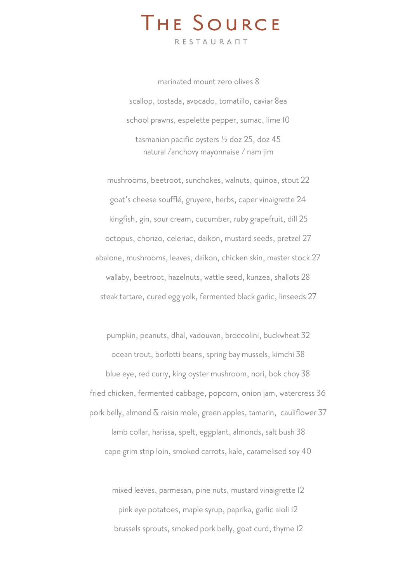# THE SOURCE

RESTAURANT

marinated mount zero olives 8 scallop, tostada, avocado, tomatillo, caviar 8ea school prawns, espelette pepper, sumac, lime 10 tasmanian pacific oysters ½ doz 25, doz 45 natural /anchovy mayonnaise / nam jim

mushrooms, beetroot, sunchokes, walnuts, quinoa, stout 22 goat's cheese soufflé, gruyere, herbs, caper vinaigrette 24 kingfish, gin, sour cream, cucumber, ruby grapefruit, dill 25 octopus, chorizo, celeriac, daikon, mustard seeds, pretzel 27 abalone, mushrooms, leaves, daikon, chicken skin, master stock 27 wallaby, beetroot, hazelnuts, wattle seed, kunzea, shallots 28 steak tartare, cured egg yolk, fermented black garlic, linseeds 27

pumpkin, peanuts, dhal, vadouvan, broccolini, buckwheat 32 ocean trout, borlotti beans, spring bay mussels, kimchi 38 blue eye, red curry, king oyster mushroom, nori, bok choy 38 fried chicken, fermented cabbage, popcorn, onion jam, watercress 36 pork belly, almond & raisin mole, green apples, tamarin, cauliflower 37 lamb collar, harissa, spelt, eggplant, almonds, salt bush 38 cape grim strip loin, smoked carrots, kale, caramelised soy 40

mixed leaves, parmesan, pine nuts, mustard vinaigrette 12 pink eye potatoes, maple syrup, paprika, garlic aioli 12 brussels sprouts, smoked pork belly, goat curd, thyme 12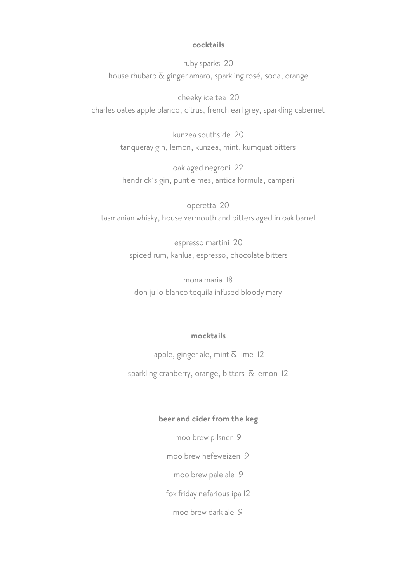## **cocktails**

ruby sparks 20 house rhubarb & ginger amaro, sparkling rosé, soda, orange

cheeky ice tea 20 charles oates apple blanco, citrus, french earl grey, sparkling cabernet

> kunzea southside 20 tanqueray gin, lemon, kunzea, mint, kumquat bitters

oak aged negroni 22 hendrick's gin, punt e mes, antica formula, campari

operetta 20 tasmanian whisky, house vermouth and bitters aged in oak barrel

> espresso martini 20 spiced rum, kahlua, espresso, chocolate bitters

mona maria 18 don julio blanco tequila infused bloody mary

#### **mocktails**

apple, ginger ale, mint  $\overline{\alpha}$  lime 12

sparkling cranberry, orange, bitters  $\delta$  lemon 12

## **beer and cider from the keg**

moo brew pilsner 9

moo brew hefeweizen 9

moo brew pale ale 9

fox friday nefarious ipa 12

moo brew dark ale 9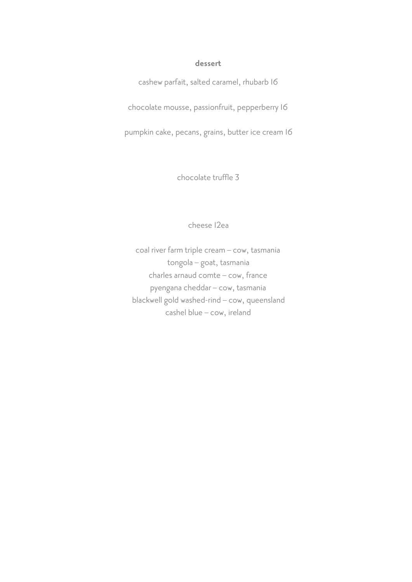### **dessert**

cashew parfait, salted caramel, rhubarb 16

chocolate mousse, passionfruit, pepperberry 16

pumpkin cake, pecans, grains, butter ice cream 16

chocolate truffle 3

cheese 12ea

coal river farm triple cream – cow, tasmania tongola – goat, tasmania charles arnaud comte – cow, france pyengana cheddar – cow, tasmania blackwell gold washed-rind – cow, queensland cashel blue – cow, ireland